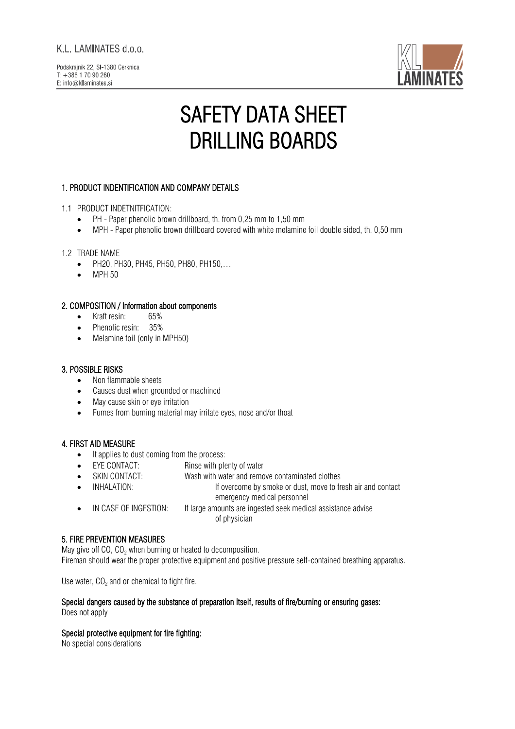# K.L. LAMINATES d.o.o.



# SAFETY DATA SHEET DRILLING BOARDS

# 1. PRODUCT INDENTIFICATION AND COMPANY DETAILS

#### 1.1 PRODUCT INDETNITFICATION:

- PH Paper phenolic brown drillboard, th. from 0,25 mm to 1,50 mm
- MPH Paper phenolic brown drillboard covered with white melamine foil double sided, th. 0,50 mm

#### 1.2 TRADE NAME

- PH20, PH30, PH45, PH50, PH80, PH150,…
- MPH 50

## 2. COMPOSITION / Information about components

- Kraft resin: 65%
- Phenolic resin: 35%
- Melamine foil (only in MPH50)

## 3. POSSIBLE RISKS

- Non flammable sheets
- Causes dust when grounded or machined
- May cause skin or eye irritation
- Fumes from burning material may irritate eyes, nose and/or thoat

## 4. FIRST AID MEASURE

- It applies to dust coming from the process:
- EYE CONTACT: Rinse with plenty of water
- SKIN CONTACT: Wash with water and remove contaminated clothes
- INHALATION: If overcome by smoke or dust, move to fresh air and contact
	- emergency medical personnel
- IN CASE OF INGESTION: If large amounts are ingested seek medical assistance advise of physician

## 5. FIRE PREVENTION MEASURES

May give off CO,  $CO<sub>2</sub>$  when burning or heated to decomposition. Fireman should wear the proper protective equipment and positive pressure self-contained breathing apparatus.

Use water, CO $_{\rm 2}$  and or chemical to fight fire.

# Special dangers caused by the substance of preparation itself, results of fire/burning or ensuring gases:

Does not apply

#### Special protective equipment for fire fighting:

No special considerations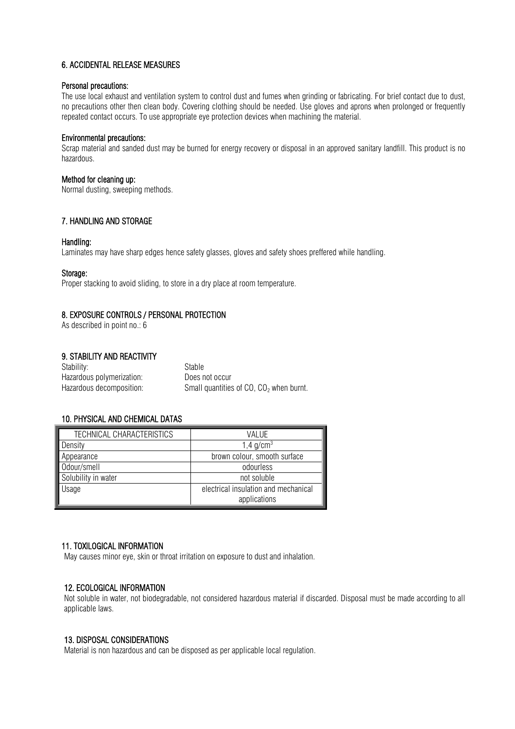## 6. ACCIDENTAL RELEASE MEASURES

#### Personal precautions:

The use local exhaust and ventilation system to control dust and fumes when grinding or fabricating. For brief contact due to dust, no precautions other then clean body. Covering clothing should be needed. Use gloves and aprons when prolonged or frequently repeated contact occurs. To use appropriate eye protection devices when machining the material.

#### Environmental precautions:

Scrap material and sanded dust may be burned for energy recovery or disposal in an approved sanitary landfill. This product is no hazardous.

### Method for cleaning up:

Normal dusting, sweeping methods.

## 7. HANDLING AND STORAGE

#### Handling:

Laminates may have sharp edges hence safety glasses, gloves and safety shoes preffered while handling.

#### Storage:

Proper stacking to avoid sliding, to store in a dry place at room temperature.

## 8. EXPOSURE CONTROLS / PERSONAL PROTECTION

As described in point no.: 6

## 9. STABILITY AND REACTIVITY

| Stability:                | Stable                                              |
|---------------------------|-----------------------------------------------------|
| Hazardous polymerization: | Does not occur                                      |
| Hazardous decomposition:  | Small quantities of CO, CO <sub>2</sub> when burnt. |

## 10. PHYSICAL AND CHEMICAL DATAS

| TECHNICAL CHARACTERISTICS | VALUE                                |
|---------------------------|--------------------------------------|
| Density                   | 1,4 $q/cm^{3}$                       |
| Appearance                | brown colour, smooth surface         |
| Odour/smell               | odourless                            |
| Solubility in water       | not soluble                          |
| Usage                     | electrical insulation and mechanical |
|                           | applications                         |

#### 11. TOXILOGICAL INFORMATION

May causes minor eye, skin or throat irritation on exposure to dust and inhalation.

#### 12. ECOLOGICAL INFORMATION

Not soluble in water, not biodegradable, not considered hazardous material if discarded. Disposal must be made according to all applicable laws.

#### 13. DISPOSAL CONSIDERATIONS

Material is non hazardous and can be disposed as per applicable local regulation.